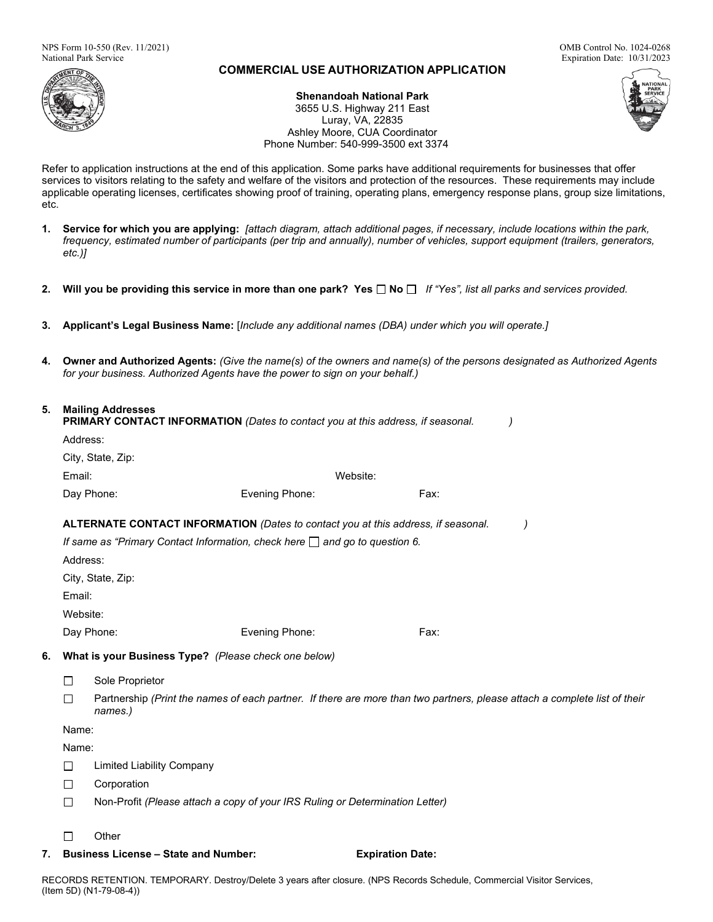

# **COMMERCIAL USE AUTHORIZATION APPLICATION**

Luray, VA, 22835

Expiration Date: 10/31/2023

**Shenandoah National Park** 3655 U.S. Highway 211 East Ashley Moore, CUA Coordinator



Refer to application instructions at the end of this application. Some parks have additional requirements for businesses that offer services to visitors relating to the safety and welfare of the visitors and protection of the resources. These requirements may include applicable operating licenses, certificates showing proof of training, operating plans, emergency response plans, group size limitations, etc.

Phone Number: 540-999-3500 ext 3374

- **1. Service for which you are applying:** *[attach diagram, attach additional pages, if necessary, include locations within the park, frequency, estimated number of participants (per trip and annually), number of vehicles, support equipment (trailers, generators, etc.)]*
- **2. Will you be providing this service in more than one park? Yes No** *If "Yes", list all parks and services provided.*
- **3. Applicant's Legal Business Name:** [*Include any additional names (DBA) under which you will operate.]*
- **4. Owner and Authorized Agents:** *(Give the name(s) of the owners and name(s) of the persons designated as Authorized Agents for your business. Authorized Agents have the power to sign on your behalf.)*

| 5. |  | <b>Mailing Addresses</b> |
|----|--|--------------------------|
|----|--|--------------------------|

|                                                                                   | <b>PRIMARY CONTACT INFORMATION</b> (Dates to contact you at this address, if seasonal. |                   |                                                                                                                           |      |  |
|-----------------------------------------------------------------------------------|----------------------------------------------------------------------------------------|-------------------|---------------------------------------------------------------------------------------------------------------------------|------|--|
|                                                                                   | Address:                                                                               |                   |                                                                                                                           |      |  |
|                                                                                   |                                                                                        | City, State, Zip: |                                                                                                                           |      |  |
| Email:                                                                            |                                                                                        |                   | Website:                                                                                                                  |      |  |
|                                                                                   |                                                                                        | Day Phone:        | Evening Phone:                                                                                                            | Fax: |  |
| ALTERNATE CONTACT INFORMATION (Dates to contact you at this address, if seasonal. |                                                                                        |                   |                                                                                                                           |      |  |
|                                                                                   | If same as "Primary Contact Information, check here $\Box$ and go to question 6.       |                   |                                                                                                                           |      |  |
|                                                                                   | Address:                                                                               |                   |                                                                                                                           |      |  |
|                                                                                   |                                                                                        | City, State, Zip: |                                                                                                                           |      |  |
|                                                                                   | Email:                                                                                 |                   |                                                                                                                           |      |  |
|                                                                                   | Website:                                                                               |                   |                                                                                                                           |      |  |
|                                                                                   |                                                                                        | Day Phone:        | Evening Phone:                                                                                                            | Fax: |  |
| 6.                                                                                | What is your Business Type? (Please check one below)                                   |                   |                                                                                                                           |      |  |
|                                                                                   | П                                                                                      | Sole Proprietor   |                                                                                                                           |      |  |
|                                                                                   | П                                                                                      | names.)           | Partnership (Print the names of each partner. If there are more than two partners, please attach a complete list of their |      |  |
|                                                                                   | Name:                                                                                  |                   |                                                                                                                           |      |  |
|                                                                                   | Name:                                                                                  |                   |                                                                                                                           |      |  |
|                                                                                   |                                                                                        |                   |                                                                                                                           |      |  |

- $\Box$ Limited Liability Company
- П Corporation
- $\Box$ Non-Profit *(Please attach a copy of your IRS Ruling or Determination Letter)*
- П **Other**
- **7. Business License – State and Number: Expiration Date:**

RECORDS RETENTION. TEMPORARY. Destroy/Delete 3 years after closure. (NPS Records Schedule, Commercial Visitor Services, (Item 5D) (N1-79-08-4))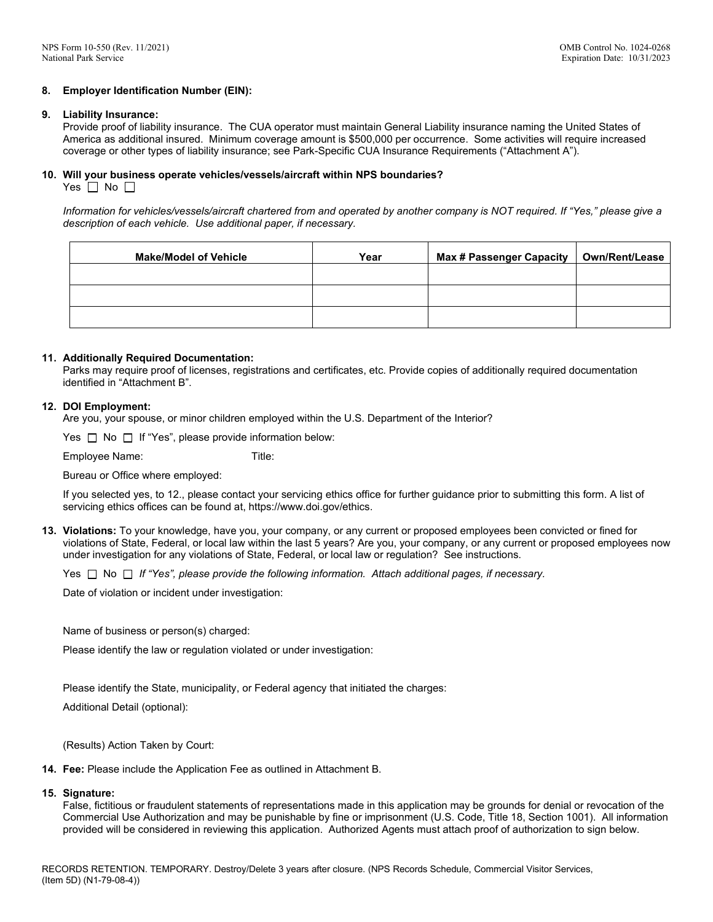### **8. Employer Identification Number (EIN):**

#### **9. Liability Insurance:**

Provide proof of liability insurance. The CUA operator must maintain General Liability insurance naming the United States of America as additional insured. Minimum coverage amount is \$500,000 per occurrence. Some activities will require increased coverage or other types of liability insurance; see Park-Specific CUA Insurance Requirements ("Attachment A").

# **10. Will your business operate vehicles/vessels/aircraft within NPS boundaries?**

Yes  $\Box$  No  $\Box$ 

*Information for vehicles/vessels/aircraft chartered from and operated by another company is NOT required. If "Yes," please give a description of each vehicle. Use additional paper, if necessary.* 

| <b>Make/Model of Vehicle</b> | Year | <b>Max # Passenger Capacity</b> | Own/Rent/Lease |
|------------------------------|------|---------------------------------|----------------|
|                              |      |                                 |                |
|                              |      |                                 |                |
|                              |      |                                 |                |

### **11. Additionally Required Documentation:**

 Parks may require proof of licenses, registrations and certificates, etc. Provide copies of additionally required documentation identified in "Attachment B".

### **12. DOI Employment:**

Are you, your spouse, or minor children employed within the U.S. Department of the Interior?

Yes  $\Box$  No  $\Box$  If "Yes", please provide information below:

Employee Name: Title:

Bureau or Office where employed:

If you selected yes, to 12., please contact your servicing ethics office for further guidance prior to submitting this form. A list of servicing ethics offices can be found at, https://www.doi.gov/ethics.

**13. Violations:** To your knowledge, have you, your company, or any current or proposed employees been convicted or fined for violations of State, Federal, or local law within the last 5 years? Are you, your company, or any current or proposed employees now under investigation for any violations of State, Federal, or local law or regulation? See instructions.

Yes No *If "Yes", please provide the following information. Attach additional pages, if necessary.*

Date of violation or incident under investigation:

Name of business or person(s) charged:

Please identify the law or regulation violated or under investigation:

Please identify the State, municipality, or Federal agency that initiated the charges:

Additional Detail (optional):

(Results) Action Taken by Court:

**14. Fee:** Please include the Application Fee as outlined in Attachment B.

# **15. Signature:**

False, fictitious or fraudulent statements of representations made in this application may be grounds for denial or revocation of the Commercial Use Authorization and may be punishable by fine or imprisonment (U.S. Code, Title 18, Section 1001). All information provided will be considered in reviewing this application. Authorized Agents must attach proof of authorization to sign below.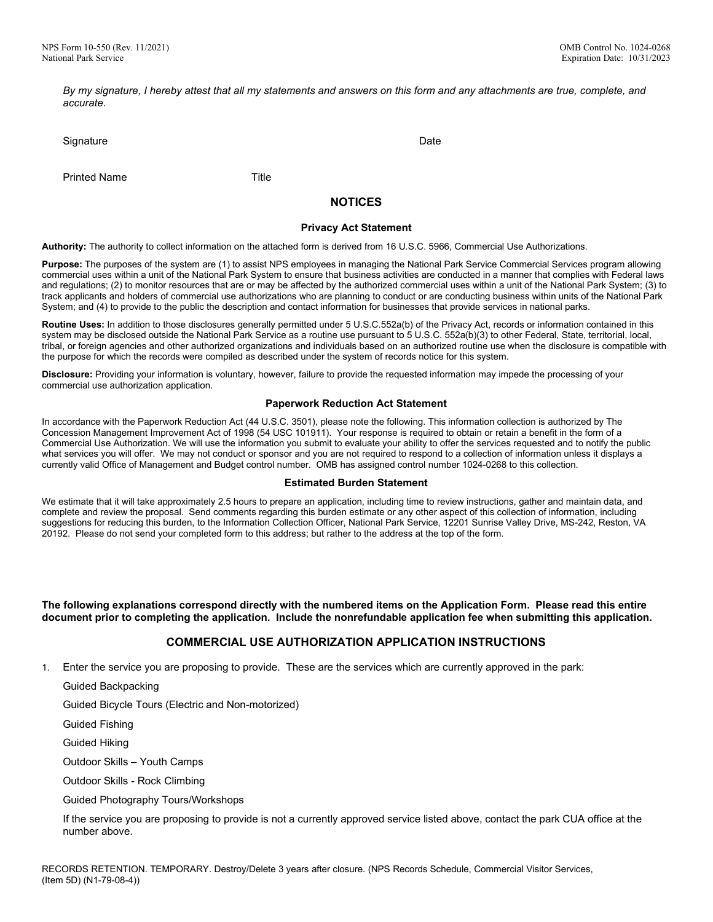*By my signature, I hereby attest that all my statements and answers on this form and any attachments are true, complete, and accurate.* 

Signature Date Date of the Date of the Date of the Date of the Date of the Date of the Date of the Date of the Date of the Date of the Date of the Date of the Date of the Date of the Date of the Date of the Date of the Dat

Printed Name Title

# **NOTICES**

#### **Privacy Act Statement**

**Authority:** The authority to collect information on the attached form is derived from 16 U.S.C. 5966, Commercial Use Authorizations.

**Purpose:** The purposes of the system are (1) to assist NPS employees in managing the National Park Service Commercial Services program allowing commercial uses within a unit of the National Park System to ensure that business activities are conducted in a manner that complies with Federal laws and regulations; (2) to monitor resources that are or may be affected by the authorized commercial uses within a unit of the National Park System; (3) to track applicants and holders of commercial use authorizations who are planning to conduct or are conducting business within units of the National Park System; and (4) to provide to the public the description and contact information for businesses that provide services in national parks.

**Routine Uses:** In addition to those disclosures generally permitted under 5 U.S.C.552a(b) of the Privacy Act, records or information contained in this system may be disclosed outside the National Park Service as a routine use pursuant to 5 U.S.C. 552a(b)(3) to other Federal, State, territorial, local, tribal, or foreign agencies and other authorized organizations and individuals based on an authorized routine use when the disclosure is compatible with the purpose for which the records were compiled as described under the system of records notice for this system.

**Disclosure:** Providing your information is voluntary, however, failure to provide the requested information may impede the processing of your commercial use authorization application.

### **Paperwork Reduction Act Statement**

In accordance with the Paperwork Reduction Act (44 U.S.C. 3501), please note the following. This information collection is authorized by The Concession Management Improvement Act of 1998 (54 USC 101911). Your response is required to obtain or retain a benefit in the form of a Commercial Use Authorization. We will use the information you submit to evaluate your ability to offer the services requested and to notify the public what services you will offer. We may not conduct or sponsor and you are not required to respond to a collection of information unless it displays a currently valid Office of Management and Budget control number. OMB has assigned control number 1024-0268 to this collection.

#### **Estimated Burden Statement**

We estimate that it will take approximately 2.5 hours to prepare an application, including time to review instructions, gather and maintain data, and complete and review the proposal. Send comments regarding this burden estimate or any other aspect of this collection of information, including suggestions for reducing this burden, to the Information Collection Officer, National Park Service, 12201 Sunrise Valley Drive, MS-242, Reston, VA 20192. Please do not send your completed form to this address; but rather to the address at the top of the form.

**The following explanations correspond directly with the numbered items on the Application Form. Please read this entire document prior to completing the application. Include the nonrefundable application fee when submitting this application.**

## **COMMERCIAL USE AUTHORIZATION APPLICATION INSTRUCTIONS**

1. Enter the service you are proposing to provide. These are the services which are currently approved in the park:

Guided Backpacking

Guided Bicycle Tours (Electric and Non-motorized)

Guided Fishing

Guided Hiking

Outdoor Skills – Youth Camps

Outdoor Skills - Rock Climbing

Guided Photography Tours/Workshops

If the service you are proposing to provide is not a currently approved service listed above, contact the park CUA office at the number above.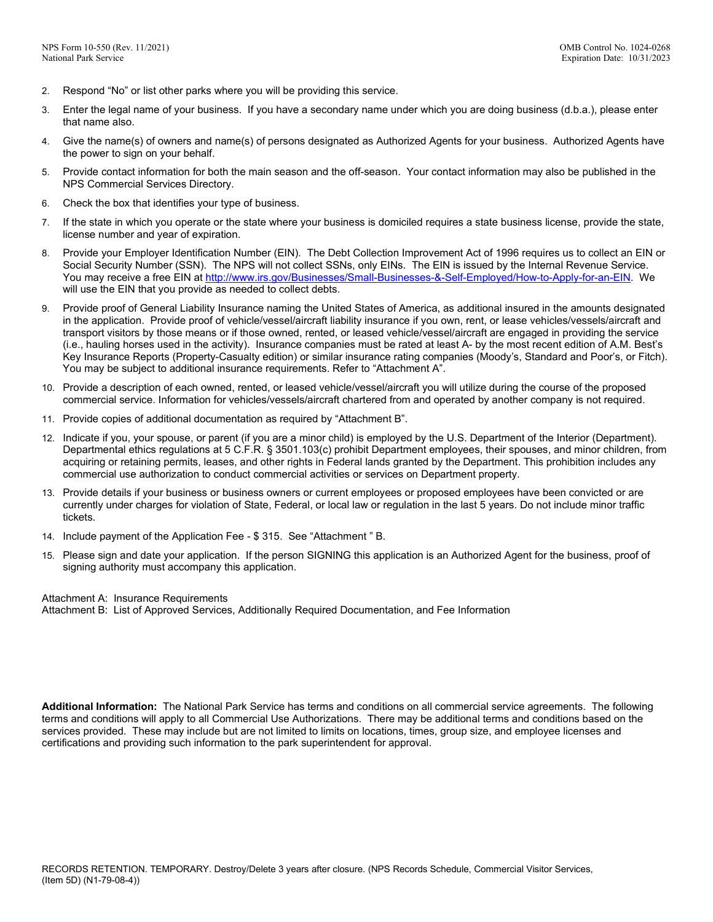- 2. Respond "No" or list other parks where you will be providing this service.
- 3. Enter the legal name of your business. If you have a secondary name under which you are doing business (d.b.a.), please enter that name also.
- 4. Give the name(s) of owners and name(s) of persons designated as Authorized Agents for your business. Authorized Agents have the power to sign on your behalf.
- 5. Provide contact information for both the main season and the off-season. Your contact information may also be published in the NPS Commercial Services Directory.
- 6. Check the box that identifies your type of business.
- 7. If the state in which you operate or the state where your business is domiciled requires a state business license, provide the state, license number and year of expiration.
- 8. Provide your Employer Identification Number (EIN). The Debt Collection Improvement Act of 1996 requires us to collect an EIN or Social Security Number (SSN). The NPS will not collect SSNs, only EINs. The EIN is issued by the Internal Revenue Service. You may receive a free EIN a[t http://www.irs.gov/Businesses/Small-Businesses-&-Self-Employed/How-to-Apply-for-an-EIN.](http://www.irs.gov/Businesses/Small-Businesses-&-Self-Employed/How-to-Apply-for-an-EIN) We will use the EIN that you provide as needed to collect debts.
- 9. Provide proof of General Liability Insurance naming the United States of America, as additional insured in the amounts designated in the application. Provide proof of vehicle/vessel/aircraft liability insurance if you own, rent, or lease vehicles/vessels/aircraft and transport visitors by those means or if those owned, rented, or leased vehicle/vessel/aircraft are engaged in providing the service (i.e., hauling horses used in the activity). Insurance companies must be rated at least A- by the most recent edition of A.M. Best's Key Insurance Reports (Property-Casualty edition) or similar insurance rating companies (Moody's, Standard and Poor's, or Fitch). You may be subject to additional insurance requirements. Refer to "Attachment A".
- 10. Provide a description of each owned, rented, or leased vehicle/vessel/aircraft you will utilize during the course of the proposed commercial service. Information for vehicles/vessels/aircraft chartered from and operated by another company is not required.
- 11. Provide copies of additional documentation as required by "Attachment B".
- 12. Indicate if you, your spouse, or parent (if you are a minor child) is employed by the U.S. Department of the Interior (Department). Departmental ethics regulations at 5 C.F.R. § 3501.103(c) prohibit Department employees, their spouses, and minor children, from acquiring or retaining permits, leases, and other rights in Federal lands granted by the Department. This prohibition includes any commercial use authorization to conduct commercial activities or services on Department property.
- 13. Provide details if your business or business owners or current employees or proposed employees have been convicted or are currently under charges for violation of State, Federal, or local law or regulation in the last 5 years. Do not include minor traffic tickets.
- 14. Include payment of the Application Fee \$ 315. See "Attachment " B.
- 15. Please sign and date your application. If the person SIGNING this application is an Authorized Agent for the business, proof of signing authority must accompany this application.

Attachment A: Insurance Requirements

Attachment B: List of Approved Services, Additionally Required Documentation, and Fee Information

**Additional Information:** The National Park Service has terms and conditions on all commercial service agreements. The following terms and conditions will apply to all Commercial Use Authorizations. There may be additional terms and conditions based on the services provided. These may include but are not limited to limits on locations, times, group size, and employee licenses and certifications and providing such information to the park superintendent for approval.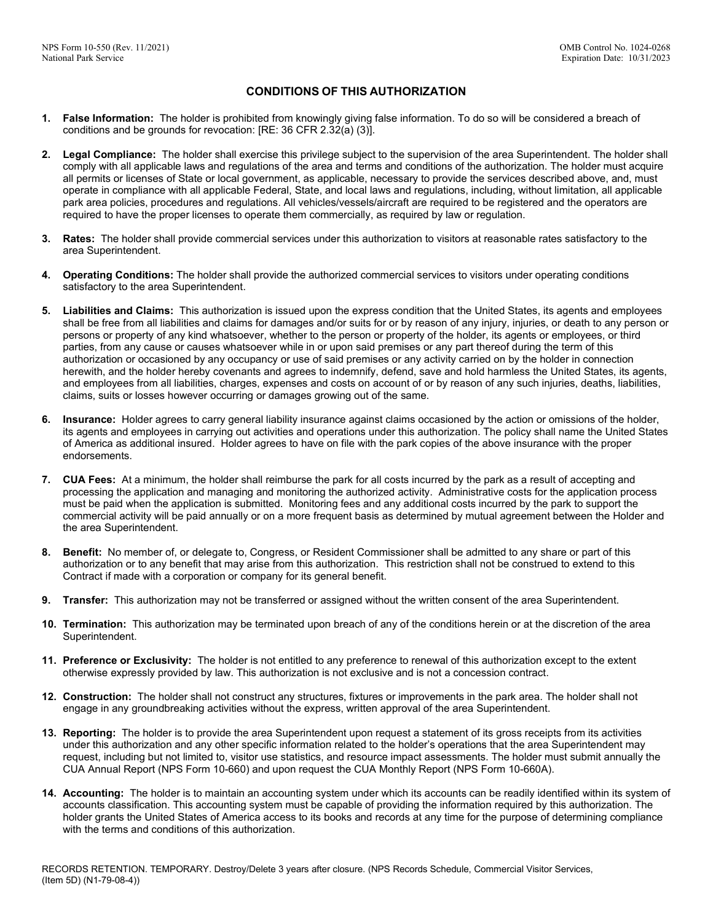# **CONDITIONS OF THIS AUTHORIZATION**

- **1. False Information:** The holder is prohibited from knowingly giving false information. To do so will be considered a breach of conditions and be grounds for revocation: [RE: 36 CFR 2.32(a) (3)].
- **2. Legal Compliance:** The holder shall exercise this privilege subject to the supervision of the area Superintendent. The holder shall comply with all applicable laws and regulations of the area and terms and conditions of the authorization. The holder must acquire all permits or licenses of State or local government, as applicable, necessary to provide the services described above, and, must operate in compliance with all applicable Federal, State, and local laws and regulations, including, without limitation, all applicable park area policies, procedures and regulations. All vehicles/vessels/aircraft are required to be registered and the operators are required to have the proper licenses to operate them commercially, as required by law or regulation.
- **3. Rates:** The holder shall provide commercial services under this authorization to visitors at reasonable rates satisfactory to the area Superintendent.
- **4. Operating Conditions:** The holder shall provide the authorized commercial services to visitors under operating conditions satisfactory to the area Superintendent.
- **5. Liabilities and Claims:** This authorization is issued upon the express condition that the United States, its agents and employees shall be free from all liabilities and claims for damages and/or suits for or by reason of any injury, injuries, or death to any person or persons or property of any kind whatsoever, whether to the person or property of the holder, its agents or employees, or third parties, from any cause or causes whatsoever while in or upon said premises or any part thereof during the term of this authorization or occasioned by any occupancy or use of said premises or any activity carried on by the holder in connection herewith, and the holder hereby covenants and agrees to indemnify, defend, save and hold harmless the United States, its agents, and employees from all liabilities, charges, expenses and costs on account of or by reason of any such injuries, deaths, liabilities, claims, suits or losses however occurring or damages growing out of the same.
- **6. Insurance:** Holder agrees to carry general liability insurance against claims occasioned by the action or omissions of the holder, its agents and employees in carrying out activities and operations under this authorization. The policy shall name the United States of America as additional insured. Holder agrees to have on file with the park copies of the above insurance with the proper endorsements.
- **7. CUA Fees:** At a minimum, the holder shall reimburse the park for all costs incurred by the park as a result of accepting and processing the application and managing and monitoring the authorized activity. Administrative costs for the application process must be paid when the application is submitted. Monitoring fees and any additional costs incurred by the park to support the commercial activity will be paid annually or on a more frequent basis as determined by mutual agreement between the Holder and the area Superintendent.
- **8. Benefit:** No member of, or delegate to, Congress, or Resident Commissioner shall be admitted to any share or part of this authorization or to any benefit that may arise from this authorization. This restriction shall not be construed to extend to this Contract if made with a corporation or company for its general benefit.
- **9. Transfer:** This authorization may not be transferred or assigned without the written consent of the area Superintendent.
- **10. Termination:** This authorization may be terminated upon breach of any of the conditions herein or at the discretion of the area Superintendent.
- **11. Preference or Exclusivity:** The holder is not entitled to any preference to renewal of this authorization except to the extent otherwise expressly provided by law. This authorization is not exclusive and is not a concession contract.
- **12. Construction:** The holder shall not construct any structures, fixtures or improvements in the park area. The holder shall not engage in any groundbreaking activities without the express, written approval of the area Superintendent.
- **13. Reporting:** The holder is to provide the area Superintendent upon request a statement of its gross receipts from its activities under this authorization and any other specific information related to the holder's operations that the area Superintendent may request, including but not limited to, visitor use statistics, and resource impact assessments. The holder must submit annually the CUA Annual Report (NPS Form 10-660) and upon request the CUA Monthly Report (NPS Form 10-660A).
- **14. Accounting:** The holder is to maintain an accounting system under which its accounts can be readily identified within its system of accounts classification. This accounting system must be capable of providing the information required by this authorization. The holder grants the United States of America access to its books and records at any time for the purpose of determining compliance with the terms and conditions of this authorization.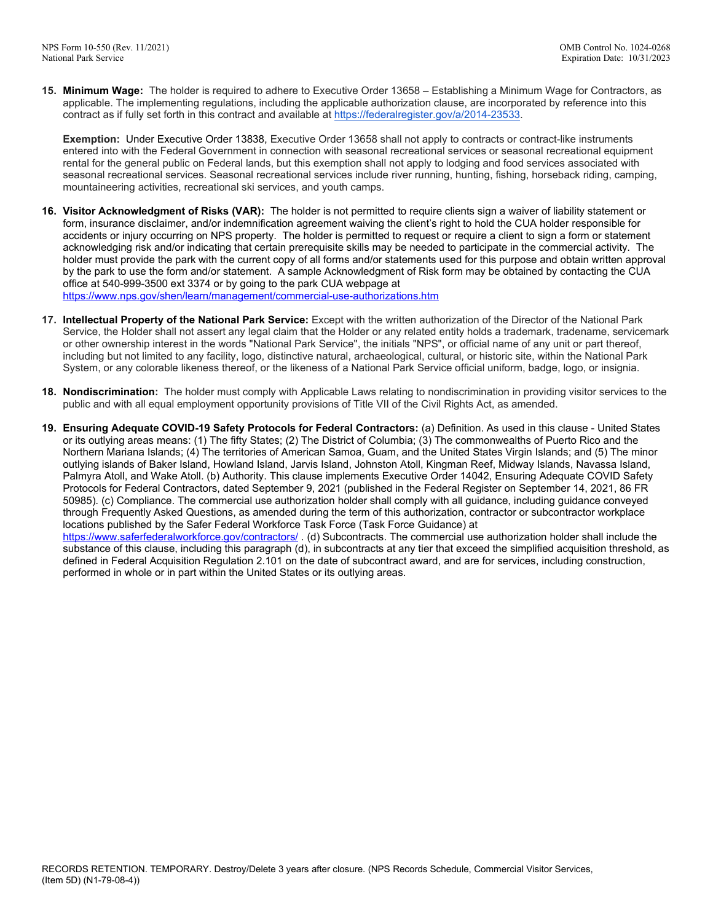**15. Minimum Wage:** The holder is required to adhere to Executive Order 13658 – Establishing a Minimum Wage for Contractors, as applicable. The implementing regulations, including the applicable authorization clause, are incorporated by reference into this contract as if fully set forth in this contract and available at [https://federalregister.gov/a/2014-23533.](https://federalregister.gov/a/2014-23533)

**Exemption:** Under Executive Order 13838, Executive Order 13658 shall not apply to contracts or contract-like instruments entered into with the Federal Government in connection with seasonal recreational services or seasonal recreational equipment rental for the general public on Federal lands, but this exemption shall not apply to lodging and food services associated with seasonal recreational services. Seasonal recreational services include river running, hunting, fishing, horseback riding, camping, mountaineering activities, recreational ski services, and youth camps.

- **16. Visitor Acknowledgment of Risks (VAR):** The holder is not permitted to require clients sign a waiver of liability statement or form, insurance disclaimer, and/or indemnification agreement waiving the client's right to hold the CUA holder responsible for accidents or injury occurring on NPS property. The holder is permitted to request or require a client to sign a form or statement acknowledging risk and/or indicating that certain prerequisite skills may be needed to participate in the commercial activity. The holder must provide the park with the current copy of all forms and/or statements used for this purpose and obtain written approval by the park to use the form and/or statement. A sample Acknowledgment of Risk form may be obtained by contacting the CUA office at 540-999-3500 ext 3374 or by going to the park CUA webpage at <https://www.nps.gov/shen/learn/management/commercial-use-authorizations.htm>
- **17. Intellectual Property of the National Park Service:** Except with the written authorization of the Director of the National Park Service, the Holder shall not assert any legal claim that the Holder or any related entity holds a trademark, tradename, servicemark or other ownership interest in the words "National Park Service", the initials "NPS", or official name of any unit or part thereof, including but not limited to any facility, logo, distinctive natural, archaeological, cultural, or historic site, within the National Park System, or any colorable likeness thereof, or the likeness of a National Park Service official uniform, badge, logo, or insignia.
- **18. Nondiscrimination:** The holder must comply with Applicable Laws relating to nondiscrimination in providing visitor services to the public and with all equal employment opportunity provisions of Title VII of the Civil Rights Act, as amended.
- **19. Ensuring Adequate COVID-19 Safety Protocols for Federal Contractors:** (a) Definition. As used in this clause United States or its outlying areas means: (1) The fifty States; (2) The District of Columbia; (3) The commonwealths of Puerto Rico and the Northern Mariana Islands; (4) The territories of American Samoa, Guam, and the United States Virgin Islands; and (5) The minor outlying islands of Baker Island, Howland Island, Jarvis Island, Johnston Atoll, Kingman Reef, Midway Islands, Navassa Island, Palmyra Atoll, and Wake Atoll. (b) Authority. This clause implements Executive Order 14042, Ensuring Adequate COVID Safety Protocols for Federal Contractors, dated September 9, 2021 (published in the Federal Register on September 14, 2021, 86 FR 50985). (c) Compliance. The commercial use authorization holder shall comply with all guidance, including guidance conveyed through Frequently Asked Questions, as amended during the term of this authorization, contractor or subcontractor workplace locations published by the Safer Federal Workforce Task Force (Task Force Guidance) at <https://www.saferfederalworkforce.gov/contractors/> (d) Subcontracts. The commercial use authorization holder shall include the substance of this clause, including this paragraph (d), in subcontracts at any tier that exceed the simplified acquisition threshold, as defined in Federal Acquisition Regulation 2.101 on the date of subcontract award, and are for services, including construction,

performed in whole or in part within the United States or its outlying areas.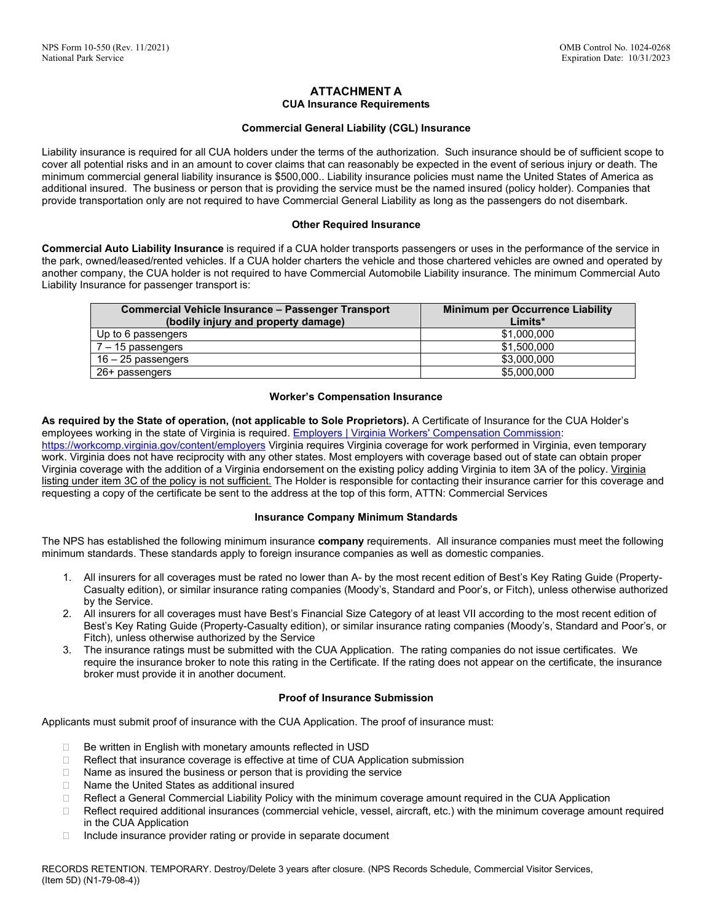## **ATTACHMENT A CUA Insurance Requirements**

## **Commercial General Liability (CGL) Insurance**

Liability insurance is required for all CUA holders under the terms of the authorization. Such insurance should be of sufficient scope to cover all potential risks and in an amount to cover claims that can reasonably be expected in the event of serious injury or death. The minimum commercial general liability insurance is \$500,000.. Liability insurance policies must name the United States of America as additional insured. The business or person that is providing the service must be the named insured (policy holder). Companies that provide transportation only are not required to have Commercial General Liability as long as the passengers do not disembark.

### **Other Required Insurance**

**Commercial Auto Liability Insurance** is required if a CUA holder transports passengers or uses in the performance of the service in the park, owned/leased/rented vehicles. If a CUA holder charters the vehicle and those chartered vehicles are owned and operated by another company, the CUA holder is not required to have Commercial Automobile Liability insurance. The minimum Commercial Auto Liability Insurance for passenger transport is:

| <b>Commercial Vehicle Insurance - Passenger Transport</b><br>(bodily injury and property damage) | <b>Minimum per Occurrence Liability</b><br>Limits* |
|--------------------------------------------------------------------------------------------------|----------------------------------------------------|
| Up to 6 passengers                                                                               | \$1,000,000                                        |
| $7 - 15$ passengers                                                                              | \$1,500,000                                        |
| 16 – 25 passengers                                                                               | \$3,000,000                                        |
| 26+ passengers                                                                                   | \$5,000,000                                        |

### **Worker's Compensation Insurance**

**As required by the State of operation, (not applicable to Sole Proprietors).** A Certificate of Insurance for the CUA Holder's employees working in the state of Virginia is required[. Employers | Virginia Workers' Compensation Commission:](https://workcomp.virginia.gov/content/employers) https://workcomp.virginia.gov/content/employers Virginia requires Virginia coverage for work performed in Virginia, even temporary work. Virginia does not have reciprocity with any other states. Most employers with coverage based out of state can obtain proper Virginia coverage with the addition of a Virginia endorsement on the existing policy adding Virginia to item 3A of the policy. Virginia listing under item 3C of the policy is not sufficient. The Holder is responsible for contacting their insurance carrier for this coverage and requesting a copy of the certificate be sent to the address at the top of this form, ATTN: Commercial Services

## **Insurance Company Minimum Standards**

The NPS has established the following minimum insurance **company** requirements. All insurance companies must meet the following minimum standards. These standards apply to foreign insurance companies as well as domestic companies.

- 1. All insurers for all coverages must be rated no lower than A- by the most recent edition of Best's Key Rating Guide (Property-Casualty edition), or similar insurance rating companies (Moody's, Standard and Poor's, or Fitch), unless otherwise authorized by the Service.
- 2. All insurers for all coverages must have Best's Financial Size Category of at least VII according to the most recent edition of Best's Key Rating Guide (Property-Casualty edition), or similar insurance rating companies (Moody's, Standard and Poor's, or Fitch), unless otherwise authorized by the Service
- 3. The insurance ratings must be submitted with the CUA Application. The rating companies do not issue certificates. We require the insurance broker to note this rating in the Certificate. If the rating does not appear on the certificate, the insurance broker must provide it in another document.

## **Proof of Insurance Submission**

Applicants must submit proof of insurance with the CUA Application. The proof of insurance must:

- $\Box$  Be written in English with monetary amounts reflected in USD
- □ Reflect that insurance coverage is effective at time of CUA Application submission
- $\Box$  Name as insured the business or person that is providing the service
- □ Name the United States as additional insured
- □ Reflect a General Commercial Liability Policy with the minimum coverage amount required in the CUA Application
- $\Box$  Reflect required additional insurances (commercial vehicle, vessel, aircraft, etc.) with the minimum coverage amount required in the CUA Application
- $\Box$  Include insurance provider rating or provide in separate document

RECORDS RETENTION. TEMPORARY. Destroy/Delete 3 years after closure. (NPS Records Schedule, Commercial Visitor Services, (Item 5D) (N1-79-08-4))